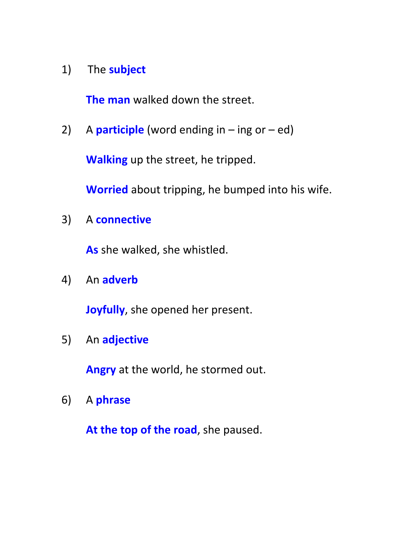# 1) The **subject**

**The man** walked down the street.

2) A **participle** (word ending in – ing or – ed)

**Walking** up the street, he tripped.

**Worried** about tripping, he bumped into his wife.

3) A **connective** 

**As** she walked, she whistled.

4) An **adverb** 

**Joyfully**, she opened her present.

5) An **adjective** 

**Angry** at the world, he stormed out.

6) A **phrase** 

**At the top of the road**, she paused.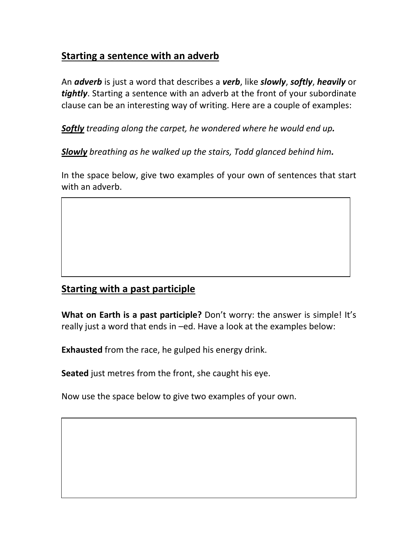### **Starting a sentence with an adverb**

An *adverb* is just a word that describes a *verb*, like *slowly*, *softly*, *heavily* or *tightly*. Starting a sentence with an adverb at the front of your subordinate clause can be an interesting way of writing. Here are a couple of examples:

*Softly treading along the carpet, he wondered where he would end up.* 

*Slowly breathing as he walked up the stairs, Todd glanced behind him.*

In the space below, give two examples of your own of sentences that start with an adverb.

### **Starting with a past participle**

**What on Earth is a past participle?** Don't worry: the answer is simple! It's really just a word that ends in –ed. Have a look at the examples below:

**Exhausted** from the race, he gulped his energy drink.

**Seated** just metres from the front, she caught his eye.

Now use the space below to give two examples of your own.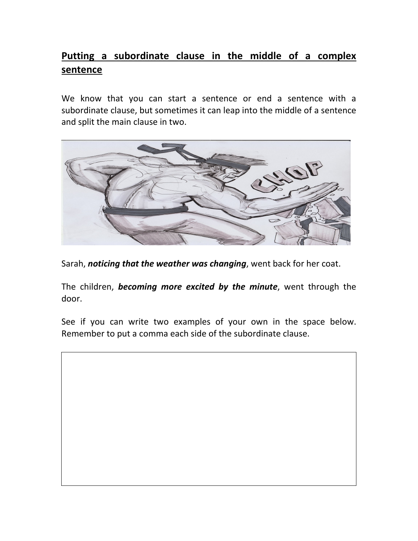## **Putting a subordinate clause in the middle of a complex sentence**

We know that you can start a sentence or end a sentence with a subordinate clause, but sometimes it can leap into the middle of a sentence and split the main clause in two.



Sarah, *noticing that the weather was changing*, went back for her coat.

The children, *becoming more excited by the minute*, went through the door.

See if you can write two examples of your own in the space below. Remember to put a comma each side of the subordinate clause.

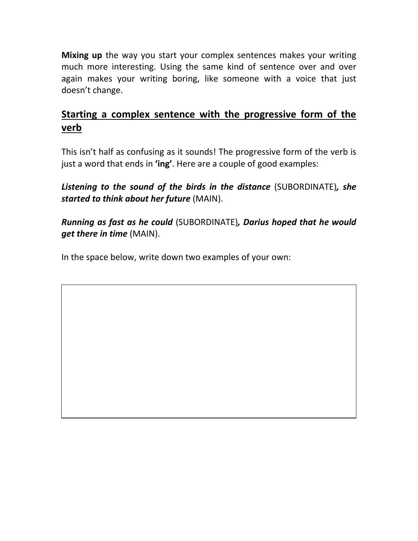**Mixing up** the way you start your complex sentences makes your writing much more interesting. Using the same kind of sentence over and over again makes your writing boring, like someone with a voice that just doesn't change.

### **Starting a complex sentence with the progressive form of the verb**

This isn't half as confusing as it sounds! The progressive form of the verb is just a word that ends in **'ing'**. Here are a couple of good examples:

*Listening to the sound of the birds in the distance* (SUBORDINATE)*, she started to think about her future* (MAIN).

*Running as fast as he could* (SUBORDINATE)*, Darius hoped that he would get there in time* (MAIN).

In the space below, write down two examples of your own: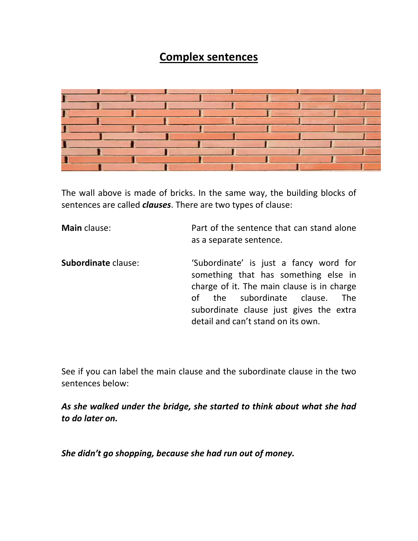## **Complex sentences**



The wall above is made of bricks. In the same way, the building blocks of sentences are called *clauses*. There are two types of clause:

| Main clause:               | Part of the sentence that can stand alone<br>as a separate sentence.                                                                                                                                                                                                |
|----------------------------|---------------------------------------------------------------------------------------------------------------------------------------------------------------------------------------------------------------------------------------------------------------------|
| <b>Subordinate</b> clause: | 'Subordinate' is just a fancy word for<br>something that has something else in<br>charge of it. The main clause is in charge<br>the subordinate clause.<br><u>of</u><br><b>The</b><br>subordinate clause just gives the extra<br>detail and can't stand on its own. |

See if you can label the main clause and the subordinate clause in the two sentences below:

*As she walked under the bridge, she started to think about what she had to do later on.* 

*She didn't go shopping, because she had run out of money.*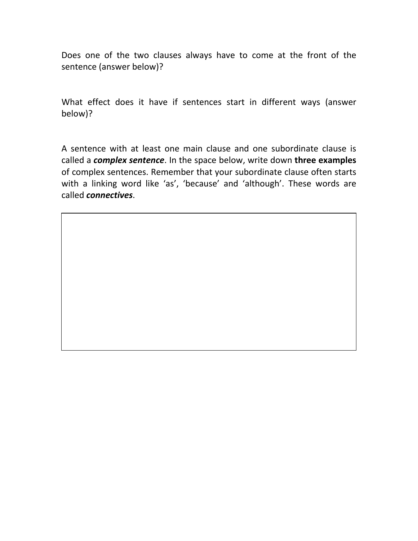Does one of the two clauses always have to come at the front of the sentence (answer below)?

What effect does it have if sentences start in different ways (answer below)?

A sentence with at least one main clause and one subordinate clause is called a *complex sentence*. In the space below, write down **three examples** of complex sentences. Remember that your subordinate clause often starts with a linking word like 'as', 'because' and 'although'. These words are called *connectives*.